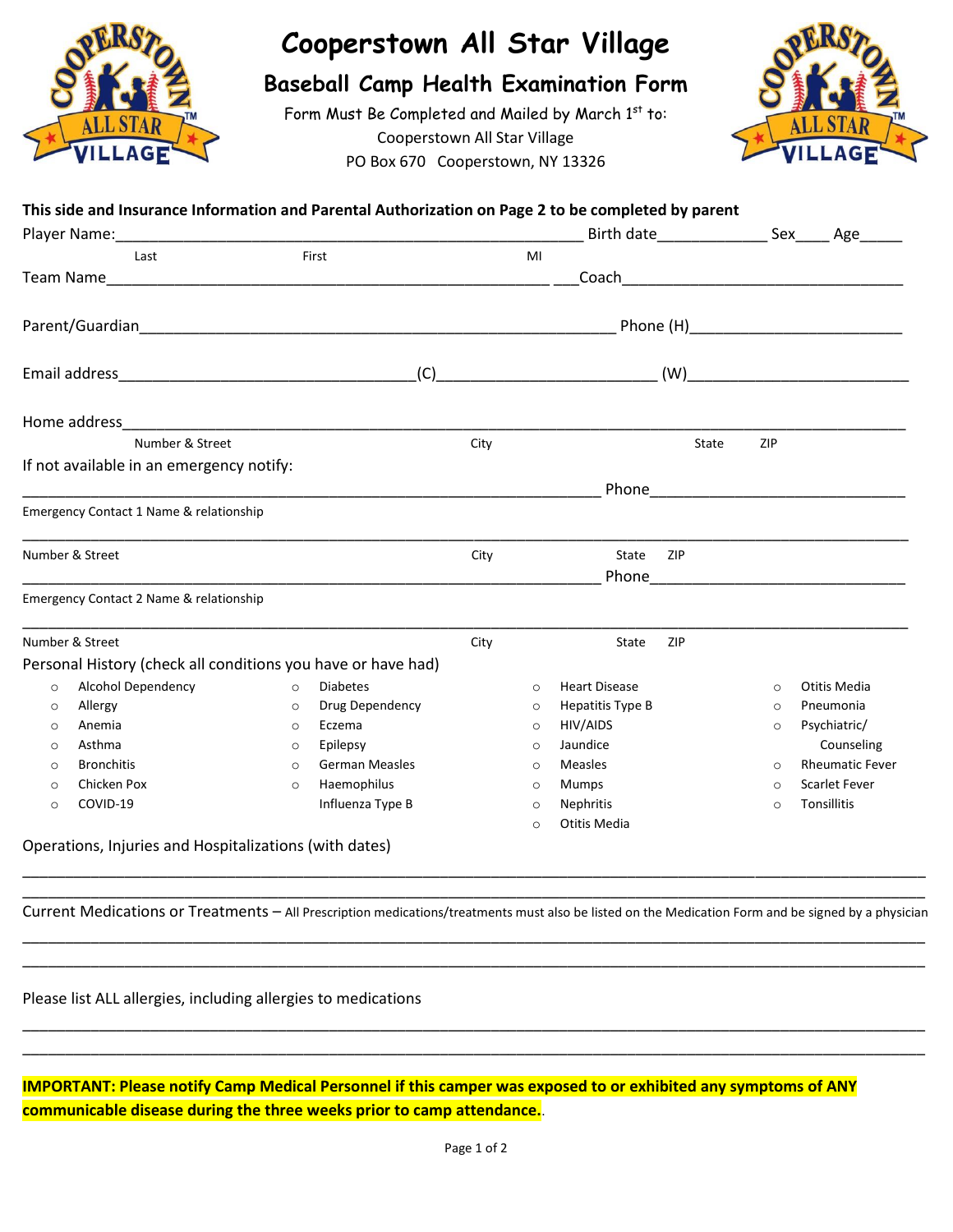

## **Cooperstown All Star Village**

## **Baseball Camp Health Examination Form**

Form Must Be Completed and Mailed by March 1st to: Cooperstown All Star Village PO Box 670 Cooperstown, NY 13326



## **This side and Insurance Information and Parental Authorization on Page 2 to be completed by parent**

| Player Name: Name: |                                                              |         |                       | Birth date_______________ |         |                      |       | Sex_____ Age______ |                        |  |  |
|--------------------|--------------------------------------------------------------|---------|-----------------------|---------------------------|---------|----------------------|-------|--------------------|------------------------|--|--|
|                    | Last                                                         |         | First                 |                           | MI      |                      |       |                    |                        |  |  |
|                    |                                                              |         |                       |                           |         |                      |       |                    |                        |  |  |
|                    |                                                              |         |                       |                           |         |                      |       |                    |                        |  |  |
|                    |                                                              |         |                       | (W)                       |         |                      |       |                    |                        |  |  |
|                    |                                                              |         |                       |                           |         |                      |       |                    |                        |  |  |
|                    | Number & Street                                              |         |                       | City                      |         |                      | State | ZIP                |                        |  |  |
|                    | If not available in an emergency notify:                     |         |                       |                           |         |                      |       |                    |                        |  |  |
|                    |                                                              |         |                       |                           |         |                      |       |                    |                        |  |  |
|                    | Emergency Contact 1 Name & relationship                      |         |                       |                           |         |                      |       |                    |                        |  |  |
| Number & Street    |                                                              |         |                       | City                      |         | State                | ZIP   |                    |                        |  |  |
|                    | Emergency Contact 2 Name & relationship                      |         |                       |                           |         |                      |       |                    |                        |  |  |
|                    | Number & Street                                              |         |                       | City                      |         | State                | ZIP   |                    |                        |  |  |
|                    | Personal History (check all conditions you have or have had) |         |                       |                           |         |                      |       |                    |                        |  |  |
| $\circ$            | <b>Alcohol Dependency</b>                                    | $\circ$ | <b>Diabetes</b>       |                           | $\circ$ | <b>Heart Disease</b> |       | $\circ$            | Otitis Media           |  |  |
| $\circ$            | Allergy                                                      | $\circ$ | Drug Dependency       |                           | $\circ$ | Hepatitis Type B     |       | $\circ$            | Pneumonia              |  |  |
| $\Omega$           | Anemia                                                       | $\circ$ | Eczema                |                           | $\circ$ | HIV/AIDS             |       | $\circ$            | Psychiatric/           |  |  |
| $\circ$            | Asthma                                                       | $\circ$ | Epilepsy              |                           | $\circ$ | Jaundice             |       |                    | Counseling             |  |  |
| $\Omega$           | <b>Bronchitis</b>                                            | $\circ$ | <b>German Measles</b> |                           | $\circ$ | Measles              |       | $\Omega$           | <b>Rheumatic Fever</b> |  |  |
| $\circ$            | Chicken Pox                                                  | $\circ$ | Haemophilus           |                           | $\circ$ | Mumps                |       | $\circ$            | <b>Scarlet Fever</b>   |  |  |
| $\circ$            | COVID-19                                                     |         | Influenza Type B      |                           | $\circ$ | Nephritis            |       | $\circ$            | Tonsillitis            |  |  |
|                    |                                                              |         |                       |                           | $\circ$ | Otitis Media         |       |                    |                        |  |  |
|                    | Operations, Injuries and Hospitalizations (with dates)       |         |                       |                           |         |                      |       |                    |                        |  |  |

\_\_\_\_\_\_\_\_\_\_\_\_\_\_\_\_\_\_\_\_\_\_\_\_\_\_\_\_\_\_\_\_\_\_\_\_\_\_\_\_\_\_\_\_\_\_\_\_\_\_\_\_\_\_\_\_\_\_\_\_\_\_\_\_\_\_\_\_\_\_\_\_\_\_\_\_\_\_\_\_\_\_\_\_\_\_\_\_\_\_\_\_\_\_\_\_\_\_\_\_\_\_\_\_\_\_ Current Medications or Treatments – All Prescription medications/treatments must also be listed on the Medication Form and be signed by a physician \_\_\_\_\_\_\_\_\_\_\_\_\_\_\_\_\_\_\_\_\_\_\_\_\_\_\_\_\_\_\_\_\_\_\_\_\_\_\_\_\_\_\_\_\_\_\_\_\_\_\_\_\_\_\_\_\_\_\_\_\_\_\_\_\_\_\_\_\_\_\_\_\_\_\_\_\_\_\_\_\_\_\_\_\_\_\_\_\_\_\_\_\_\_\_\_\_\_\_\_\_\_\_\_\_\_

\_\_\_\_\_\_\_\_\_\_\_\_\_\_\_\_\_\_\_\_\_\_\_\_\_\_\_\_\_\_\_\_\_\_\_\_\_\_\_\_\_\_\_\_\_\_\_\_\_\_\_\_\_\_\_\_\_\_\_\_\_\_\_\_\_\_\_\_\_\_\_\_\_\_\_\_\_\_\_\_\_\_\_\_\_\_\_\_\_\_\_\_\_\_\_\_\_\_\_\_\_\_\_\_\_\_

\_\_\_\_\_\_\_\_\_\_\_\_\_\_\_\_\_\_\_\_\_\_\_\_\_\_\_\_\_\_\_\_\_\_\_\_\_\_\_\_\_\_\_\_\_\_\_\_\_\_\_\_\_\_\_\_\_\_\_\_\_\_\_\_\_\_\_\_\_\_\_\_\_\_\_\_\_\_\_\_\_\_\_\_\_\_\_\_\_\_\_\_\_\_\_\_\_\_\_\_\_\_\_\_\_\_ \_\_\_\_\_\_\_\_\_\_\_\_\_\_\_\_\_\_\_\_\_\_\_\_\_\_\_\_\_\_\_\_\_\_\_\_\_\_\_\_\_\_\_\_\_\_\_\_\_\_\_\_\_\_\_\_\_\_\_\_\_\_\_\_\_\_\_\_\_\_\_\_\_\_\_\_\_\_\_\_\_\_\_\_\_\_\_\_\_\_\_\_\_\_\_\_\_\_\_\_\_\_\_\_\_\_

\_\_\_\_\_\_\_\_\_\_\_\_\_\_\_\_\_\_\_\_\_\_\_\_\_\_\_\_\_\_\_\_\_\_\_\_\_\_\_\_\_\_\_\_\_\_\_\_\_\_\_\_\_\_\_\_\_\_\_\_\_\_\_\_\_\_\_\_\_\_\_\_\_\_\_\_\_\_\_\_\_\_\_\_\_\_\_\_\_\_\_\_\_\_\_\_\_\_\_\_\_\_\_\_\_\_

Please list ALL allergies, including allergies to medications

**IMPORTANT: Please notify Camp Medical Personnel if this camper was exposed to or exhibited any symptoms of ANY communicable disease during the three weeks prior to camp attendance.**.